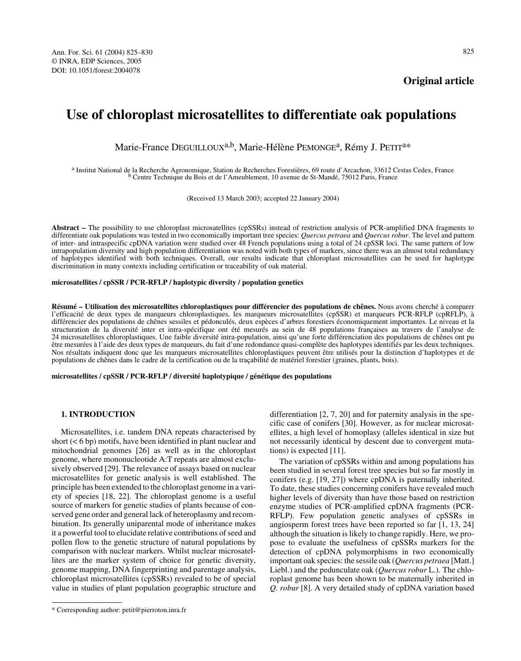**Original article**

# **Use of chloroplast microsatellites to differentiate oak populations**

Marie-France DEGUILLOUX<sup>a,b</sup>, Marie-Hélène PEMONGE<sup>a</sup>, Rémy J. PETIT<sup>a\*</sup>

a Institut National de la Recherche Agronomique, Station de Recherches Forestières, 69 route d'Arcachon, 33612 Cestas Cedex, France b Centre Technique du Bois et de l'Ameublement, 10 avenue de St-Mandé, 75012 Paris, France

(Received 13 March 2003; accepted 22 January 2004)

**Abstract –** The possibility to use chloroplast microsatellites (cpSSRs) instead of restriction analysis of PCR-amplified DNA fragments to differentiate oak populations was tested in two economically important tree species: *Quercus petraea* and *Quercus robur*. The level and pattern of inter- and intraspecific cpDNA variation were studied over 48 French populations using a total of 24 cpSSR loci. The same pattern of low intrapopulation diversity and high population differentiation was noted with both types of markers, since there was an almost total redundancy of haplotypes identified with both techniques. Overall, our results indicate that chloroplast microsatellites can be used for haplotype discrimination in many contexts including certification or traceability of oak material.

## **microsatellites / cpSSR / PCR-RFLP / haplotypic diversity / population genetics**

**Résumé – Utilisation des microsatellites chloroplastiques pour différencier des populations de chênes.** Nous avons cherché à comparer l'efficacité de deux types de marqueurs chloroplastiques, les marqueurs microsatellites (cpSSR) et marqueurs PCR-RFLP (cpRFLP), à différencier des populations de chênes sessiles et pédonculés, deux espèces d'arbres forestiers économiquement importantes. Le niveau et la structuration de la diversité inter et intra-spécifique ont été mesurés au sein de 48 populations françaises au travers de l'analyse de 24 microsatellites chloroplastiques. Une faible diversité intra-population, ainsi qu'une forte différenciation des populations de chênes ont pu être mesurées à l'aide des deux types de marqueurs, du fait d'une redondance quasi-complète des haplotypes identifiés par les deux techniques. Nos résultats indiquent donc que les marqueurs microsatellites chloroplastiques peuvent être utilisés pour la distinction d'haplotypes et de populations de chênes dans le cadre de la certification ou de la traçabilité de matériel forestier (graines, plants, bois).

**microsatellites / cpSSR / PCR-RFLP / diversité haplotypique / génétique des populations**

# **1. INTRODUCTION**

Microsatellites, i.e. tandem DNA repeats characterised by short (< 6 bp) motifs, have been identified in plant nuclear and mitochondrial genomes [26] as well as in the chloroplast genome, where mononucleotide A:T repeats are almost exclusively observed [29]. The relevance of assays based on nuclear microsatellites for genetic analysis is well established. The principle has been extended to the chloroplast genome in a variety of species [18, 22]. The chloroplast genome is a useful source of markers for genetic studies of plants because of conserved gene order and general lack of heteroplasmy and recombination. Its generally uniparental mode of inheritance makes it a powerful tool to elucidate relative contributions of seed and pollen flow to the genetic structure of natural populations by comparison with nuclear markers. Whilst nuclear microsatellites are the marker system of choice for genetic diversity, genome mapping, DNA fingerprinting and parentage analysis, chloroplast microsatellites (cpSSRs) revealed to be of special value in studies of plant population geographic structure and

differentiation [2, 7, 20] and for paternity analysis in the specific case of conifers [30]. However, as for nuclear microsatellites, a high level of homoplasy (alleles identical in size but not necessarily identical by descent due to convergent mutations) is expected [11].

The variation of cpSSRs within and among populations has been studied in several forest tree species but so far mostly in conifers (e.g. [19, 27]) where cpDNA is paternally inherited. To date, these studies concerning conifers have revealed much higher levels of diversity than have those based on restriction enzyme studies of PCR-amplified cpDNA fragments (PCR-RFLP). Few population genetic analyses of cpSSRs in angiosperm forest trees have been reported so far [1, 13, 24] although the situation is likely to change rapidly. Here, we propose to evaluate the usefulness of cpSSRs markers for the detection of cpDNA polymorphisms in two economically important oak species: the sessile oak (*Quercus petraea* [Matt.] Liebl.) and the pedunculate oak (*Quercus robur* L.). The chloroplast genome has been shown to be maternally inherited in *Q. robur* [8]. A very detailed study of cpDNA variation based

<sup>\*</sup> Corresponding author: petit@pierroton.inra.fr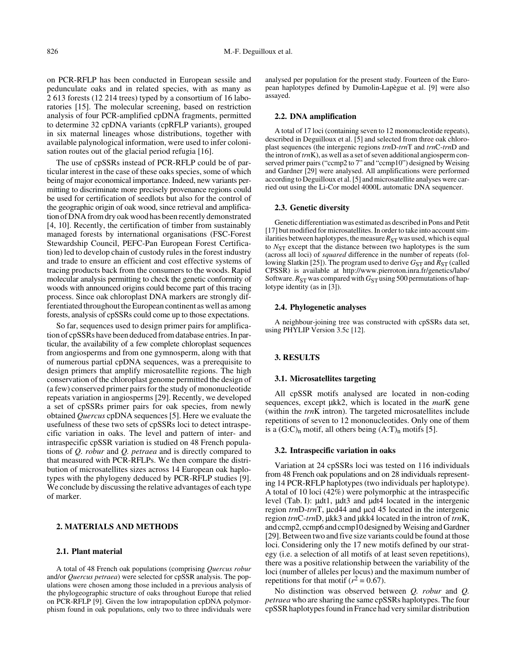on PCR-RFLP has been conducted in European sessile and pedunculate oaks and in related species, with as many as 2 613 forests (12 214 trees) typed by a consortium of 16 laboratories [15]. The molecular screening, based on restriction analysis of four PCR-amplified cpDNA fragments, permitted to determine 32 cpDNA variants (cpRFLP variants), grouped in six maternal lineages whose distributions, together with available palynological information, were used to infer colonisation routes out of the glacial period refugia [16].

The use of cpSSRs instead of PCR-RFLP could be of particular interest in the case of these oaks species, some of which being of major economical importance. Indeed, new variants permitting to discriminate more precisely provenance regions could be used for certification of seedlots but also for the control of the geographic origin of oak wood, since retrieval and amplification of DNA from dry oak wood has been recently demonstrated [4, 10]. Recently, the certification of timber from sustainably managed forests by international organisations (FSC-Forest Stewardship Council, PEFC-Pan European Forest Certification) led to develop chain of custody rules in the forest industry and trade to ensure an efficient and cost effective systems of tracing products back from the consumers to the woods. Rapid molecular analysis permitting to check the genetic conformity of woods with announced origins could become part of this tracing process. Since oak chloroplast DNA markers are strongly differentiated throughout the European continent as well as among forests, analysis of cpSSRs could come up to those expectations.

So far, sequences used to design primer pairs for amplification of cpSSRs have been deduced from database entries. In particular, the availability of a few complete chloroplast sequences from angiosperms and from one gymnosperm, along with that of numerous partial cpDNA sequences, was a prerequisite to design primers that amplify microsatellite regions. The high conservation of the chloroplast genome permitted the design of (a few) conserved primer pairs for the study of mononucleotide repeats variation in angiosperms [29]. Recently, we developed a set of cpSSRs primer pairs for oak species, from newly obtained *Quercus* cpDNA sequences [5]. Here we evaluate the usefulness of these two sets of cpSSRs loci to detect intraspecific variation in oaks. The level and pattern of inter- and intraspecific cpSSR variation is studied on 48 French populations of *Q. robur* and *Q. petraea* and is directly compared to that measured with PCR-RFLPs. We then compare the distribution of microsatellites sizes across 14 European oak haplotypes with the phylogeny deduced by PCR-RFLP studies [9]. We conclude by discussing the relative advantages of each type of marker.

# **2. MATERIALS AND METHODS**

## **2.1. Plant material**

A total of 48 French oak populations (comprising *Quercus robur* and/or *Quercus petraea*) were selected for cpSSR analysis. The populations were chosen among those included in a previous analysis of the phylogeographic structure of oaks throughout Europe that relied on PCR-RFLP [9]. Given the low intrapopulation cpDNA polymorphism found in oak populations, only two to three individuals were

analysed per population for the present study. Fourteen of the European haplotypes defined by Dumolin-Lapègue et al. [9] were also assayed.

# **2.2. DNA amplification**

A total of 17 loci (containing seven to 12 mononucleotide repeats), described in Deguilloux et al. [5] and selected from three oak chloroplast sequences (the intergenic regions *trn*D-*trn*T and *trn*C-*trn*D and the intron of *trn*K), as well as a set of seven additional angiosperm conserved primer pairs ("ccmp2 to 7" and "ccmp10") designed by Weising and Gardner [29] were analysed. All amplifications were performed according to Deguilloux et al. [5] and microsatellite analyses were carried out using the Li-Cor model 4000L automatic DNA sequencer.

#### **2.3. Genetic diversity**

Genetic differentiation was estimated as described in Pons and Petit [17] but modified for microsatellites. In order to take into account similarities between haplotypes, the measure  $R_{ST}$  was used, which is equal to  $N_{ST}$  except that the distance between two haplotypes is the sum (across all loci) of *squared* difference in the number of repeats (following Slatkin [25]). The program used to derive  $G_{ST}$  and  $\overline{R}_{ST}$  (called CPSSR) is available at http://www.pierroton.inra.fr/genetics/labo/ Software.  $R_{ST}$  was compared with  $G_{ST}$  using 500 permutations of haplotype identity (as in [3]).

#### **2.4. Phylogenetic analyses**

A neighbour-joining tree was constructed with cpSSRs data set, using PHYLIP Version 3.5c [12].

# **3. RESULTS**

## **3.1. Microsatellites targeting**

All cpSSR motifs analysed are located in non-coding sequences, except µkk2, which is located in the *mat*K gene (within the *trn*K intron). The targeted microsatellites include repetitions of seven to 12 mononucleotides. Only one of them is a  $(G:C)<sub>n</sub>$  motif, all others being  $(A:T)<sub>n</sub>$  motifs [5].

#### **3.2. Intraspecific variation in oaks**

Variation at 24 cpSSRs loci was tested on 116 individuals from 48 French oak populations and on 28 individuals representing 14 PCR-RFLP haplotypes (two individuals per haplotype). A total of 10 loci (42%) were polymorphic at the intraspecific level (Tab. I): µdt1, µdt3 and µdt4 located in the intergenic region *trn*D-*trn*T, µcd44 and µcd 45 located in the intergenic region *trn*C-*trn*D, µkk3 and µkk4 located in the intron of *trn*K, and ccmp2, ccmp6 and ccmp10 designed by Weising and Gardner [29]. Between two and five size variants could be found at those loci. Considering only the 17 new motifs defined by our strategy (i.e. a selection of all motifs of at least seven repetitions), there was a positive relationship between the variability of the loci (number of alleles per locus) and the maximum number of repetitions for that motif  $(r^2 = 0.67)$ .

No distinction was observed between *Q. robur* and *Q. petraea* who are sharing the same cpSSRs haplotypes. The four cpSSR haplotypes found in France had very similar distribution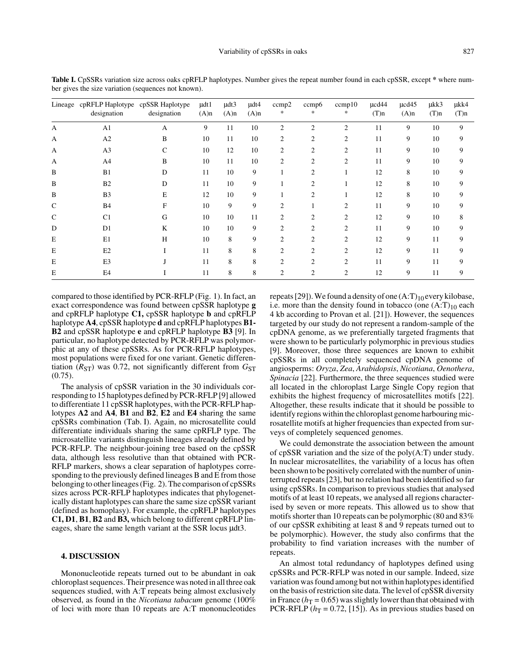|               | Lineage cpRFLP Haplotype cpSSR Haplotype<br>designation | designation   | $\mu dt1$<br>$(A)$ n | $\mu dt3$<br>$(A)$ n | udt4<br>$(A)$ n | ccmp2<br>*     | ccmp6<br>*     | ccmp10<br>∗    | ucd44<br>$(T)$ n | $\mu$ cd $45$<br>$(A)$ n | ukk3<br>$(T)$ n | µkk4<br>$(T)$ n |
|---------------|---------------------------------------------------------|---------------|----------------------|----------------------|-----------------|----------------|----------------|----------------|------------------|--------------------------|-----------------|-----------------|
| А             | A <sub>1</sub>                                          | A             | 9                    | 11                   | 10              | $\overline{2}$ | 2              | $\overline{c}$ | 11               | 9                        | 10              | 9               |
| A             | A2                                                      | B             | 10                   | 11                   | 10              | 2              | 2              | 2              | 11               | 9                        | 10              | 9               |
| A             | A <sub>3</sub>                                          | $\mathcal{C}$ | 10                   | 12                   | 10              | 2              | $\overline{2}$ | 2              | 11               | 9                        | 10              | 9               |
| A             | A4                                                      | B             | 10                   | 11                   | 10              | 2              | $\overline{2}$ | 2              | 11               | 9                        | 10              | 9               |
| B             | B1                                                      | D             | 11                   | 10                   | 9               |                | 2              |                | 12               | 8                        | 10              | 9               |
| B             | B <sub>2</sub>                                          | D             | 11                   | 10                   | 9               |                | 2              |                | 12               | 8                        | 10              | 9               |
| B             | B <sub>3</sub>                                          | Е             | 12                   | 10                   | 9               |                | $\overline{2}$ |                | 12               | 8                        | 10              | 9               |
| $\mathcal{C}$ | <b>B4</b>                                               | F             | 10                   | 9                    | 9               | 2              |                | $\overline{c}$ | 11               | 9                        | 10              | 9               |
| C             | C <sub>1</sub>                                          | G             | 10                   | 10                   | 11              | 2              | $\overline{c}$ | $\overline{c}$ | 12               | 9                        | 10              | 8               |
| D             | D1                                                      | K             | 10                   | 10                   | 9               | 2              | $\overline{2}$ | 2              | 11               | 9                        | 10              | 9               |
| E             | E1                                                      | H             | 10                   | 8                    | 9               | 2              | $\overline{2}$ | $\overline{c}$ | 12               | 9                        | 11              | 9               |
| Е             | E2                                                      |               | 11                   | 8                    | 8               | 2              | $\overline{c}$ | 2              | 12               | 9                        | 11              | 9               |
| E             | E <sub>3</sub>                                          |               | 11                   | 8                    | 8               | 2              | $\overline{c}$ | $\overline{c}$ | 11               | 9                        | 11              | 9               |
| Е             | E4                                                      |               | 11                   | 8                    | 8               | 2              | 2              | 2              | 12               | 9                        | 11              | 9               |

**Table I.** CpSSRs variation size across oaks cpRFLP haplotypes. Number gives the repeat number found in each cpSSR, except **\*** where number gives the size variation (sequences not known).

compared to those identified by PCR-RFLP (Fig. 1). In fact, an exact correspondence was found between cpSSR haplotype **g** and cpRFLP haplotype **C1,** cpSSR haplotype **b** and cpRFLP haplotype **A4**, cpSSR haplotype **d** and cpRFLP haplotypes **B1- B2** and cpSSR haplotype **e** and cpRFLP haplotype **B3** [9]. In particular, no haplotype detected by PCR-RFLP was polymorphic at any of these cpSSRs. As for PCR-RFLP haplotypes, most populations were fixed for one variant. Genetic differentiation  $(R_{ST})$  was 0.72, not significantly different from  $G_{ST}$ (0.75).

The analysis of cpSSR variation in the 30 individuals corresponding to 15 haplotypes defined by PCR-RFLP [9] allowed to differentiate 11 cpSSR haplotypes, with the PCR-RFLP haplotypes **A2** and **A4**, **B1** and **B2**, **E2** and **E4** sharing the same cpSSRs combination (Tab. I). Again, no microsatellite could differentiate individuals sharing the same cpRFLP type. The microsatellite variants distinguish lineages already defined by PCR-RFLP. The neighbour-joining tree based on the cpSSR data, although less resolutive than that obtained with PCR-RFLP markers, shows a clear separation of haplotypes corresponding to the previously defined lineages B and E from those belonging to other lineages (Fig. 2). The comparison of cpSSRs sizes across PCR-RFLP haplotypes indicates that phylogenetically distant haplotypes can share the same size cpSSR variant (defined as homoplasy). For example, the cpRFLP haplotypes **C1, D1**, **B1**, **B2** and **B3,** which belong to different cpRFLP lineages, share the same length variant at the SSR locus µdt3.

# **4. DISCUSSION**

Mononucleotide repeats turned out to be abundant in oak chloroplast sequences. Their presence was noted in all three oak sequences studied, with A:T repeats being almost exclusively observed, as found in the *Nicotiana tabacum* genome (100% of loci with more than 10 repeats are A:T mononucleotides repeats [29]). We found a density of one  $(A:T)_{10}$  every kilobase, i.e. more than the density found in tobacco (one  $(A:T)_{10}$  each 4 kb according to Provan et al. [21]). However, the sequences targeted by our study do not represent a random-sample of the cpDNA genome, as we preferentially targeted fragments that were shown to be particularly polymorphic in previous studies [9]. Moreover, those three sequences are known to exhibit cpSSRs in all completely sequenced cpDNA genome of angiosperms: *Oryza*, *Zea*, *Arabidopsis*, *Nicotiana*, *Oenothera*, *Spinacia* [22]. Furthermore, the three sequences studied were all located in the chloroplast Large Single Copy region that exhibits the highest frequency of microsatellites motifs [22]. Altogether, these results indicate that it should be possible to identify regions within the chloroplast genome harbouring microsatellite motifs at higher frequencies than expected from surveys of completely sequenced genomes.

We could demonstrate the association between the amount of cpSSR variation and the size of the poly(A:T) under study. In nuclear microsatellites, the variability of a locus has often been shown to be positively correlated with the number of uninterrupted repeats [23], but no relation had been identified so far using cpSSRs. In comparison to previous studies that analysed motifs of at least 10 repeats, we analysed all regions characterised by seven or more repeats. This allowed us to show that motifs shorter than 10 repeats can be polymorphic (80 and 83% of our cpSSR exhibiting at least 8 and 9 repeats turned out to be polymorphic). However, the study also confirms that the probability to find variation increases with the number of repeats.

An almost total redundancy of haplotypes defined using cpSSRs and PCR-RFLP was noted in our sample. Indeed, size variation was found among but not within haplotypes identified on the basis of restriction site data. The level of cpSSR diversity in France ( $h_T$  = 0.65) was slightly lower than that obtained with PCR-RFLP  $(h_T = 0.72, [15])$ . As in previous studies based on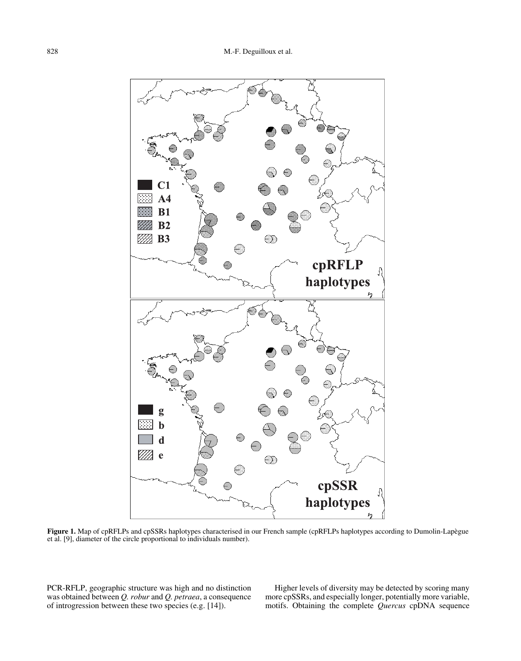

**Figure 1.** Map of cpRFLPs and cpSSRs haplotypes characterised in our French sample (cpRFLPs haplotypes according to Dumolin-Lapègue et al. [9], diameter of the circle proportional to individuals number).

PCR-RFLP, geographic structure was high and no distinction was obtained between *Q. robur* and *Q. petraea*, a consequence of introgression between these two species (e.g. [14]).

Higher levels of diversity may be detected by scoring many more cpSSRs, and especially longer, potentially more variable, motifs. Obtaining the complete *Quercus* cpDNA sequence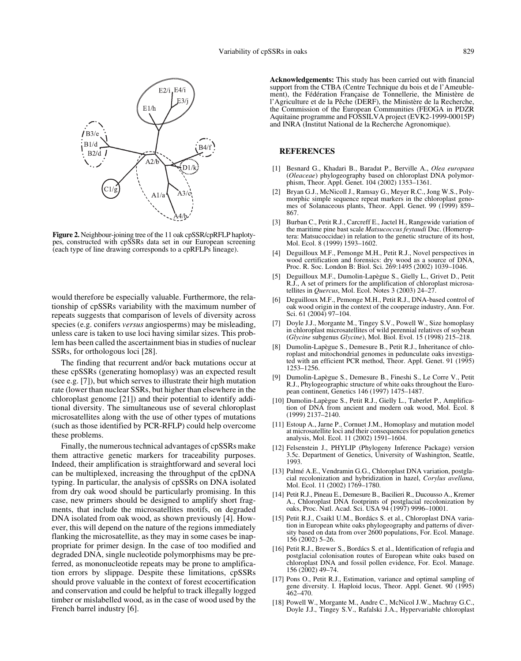

**Figure 2.** Neighbour-joining tree of the 11 oak cpSSR/cpRFLP haplotypes, constructed with cpSSRs data set in our European screening (each type of line drawing corresponds to a cpRFLPs lineage).

would therefore be especially valuable. Furthermore, the relationship of cpSSRs variability with the maximum number of repeats suggests that comparison of levels of diversity across species (e.g. conifers *versus* angiosperms) may be misleading, unless care is taken to use loci having similar sizes. This problem has been called the ascertainment bias in studies of nuclear SSRs, for orthologous loci [28].

The finding that recurrent and/or back mutations occur at these cpSSRs (generating homoplasy) was an expected result (see e.g. [7]), but which serves to illustrate their high mutation rate (lower than nuclear SSRs, but higher than elsewhere in the chloroplast genome [21]) and their potential to identify additional diversity. The simultaneous use of several chloroplast microsatellites along with the use of other types of mutations (such as those identified by PCR-RFLP) could help overcome these problems.

Finally, the numerous technical advantages of cpSSRs make them attractive genetic markers for traceability purposes. Indeed, their amplification is straightforward and several loci can be multiplexed, increasing the throughput of the cpDNA typing. In particular, the analysis of cpSSRs on DNA isolated from dry oak wood should be particularly promising. In this case, new primers should be designed to amplify short fragments, that include the microsatellites motifs, on degraded DNA isolated from oak wood, as shown previously [4]. However, this will depend on the nature of the regions immediately flanking the microsatellite, as they may in some cases be inappropriate for primer design. In the case of too modified and degraded DNA, single nucleotide polymorphisms may be preferred, as mononucleotide repeats may be prone to amplification errors by slippage. Despite these limitations, cpSSRs should prove valuable in the context of forest ecocertification and conservation and could be helpful to track illegally logged timber or mislabelled wood, as in the case of wood used by the French barrel industry [6].

**Acknowledgements:** This study has been carried out with financial support from the CTBA (Centre Technique du bois et de l'Ameublement), the Fédération Française de Tonnellerie, the Ministère de l'Agriculture et de la Pêche (DERF), the Ministère de la Recherche, the Commission of the European Communities (FEOGA in PDZR Aquitaine programme and FOSSILVA project (EVK2-1999-00015P) and INRA (Institut National de la Recherche Agronomique).

# **REFERENCES**

- [1] Besnard G., Khadari B., Baradat P., Berville A., *Olea europaea* (*Oleaceae*) phylogeography based on chloroplast DNA polymorphism, Theor. Appl. Genet. 104 (2002) 1353–1361.
- [2] Bryan G.J., McNicoll J., Ramsay G., Meyer R.C., Jong W.S., Polymorphic simple sequence repeat markers in the chloroplast genomes of Solanaceous plants, Theor. Appl. Genet. 99 (1999) 859– 867.
- [3] Burban C., Petit R.J., Carcreff E., Jactel H., Rangewide variation of the maritime pine bast scale *Matsucoccus feytaudi* Duc. (Homeroptera: Matsucoccidae) in relation to the genetic structure of its host, Mol. Ecol. 8 (1999) 1593–1602.
- [4] Deguilloux M.F., Pemonge M.H., Petit R.J., Novel perspectives in wood certification and forensics: dry wood as a source of DNA, Proc. R. Soc. London B: Biol. Sci. 269:1495 (2002) 1039–1046.
- [5] Deguilloux M.F., Dumolin-Lapègue S., Gielly L., Grivet D., Petit R.J., A set of primers for the amplification of chloroplast microsatellites in *Quercus*, Mol. Ecol. Notes 3 (2003) 24–27.
- [6] Deguilloux M.F., Pemonge M.H., Petit R.J., DNA-based control of oak wood origin in the context of the cooperage industry, Ann. For. Sci. 61 (2004) 97–104.
- [7] Doyle J.J., Morgante M., Tingey S.V., Powell W., Size homoplasy in chloroplast microsatellites of wild perennial relatives of soybean (*Glycine* subgenus *Glycine*), Mol. Biol. Evol. 15 (1998) 215–218.
- [8] Dumolin-Lapègue S., Demesure B., Petit R.J., Inheritance of chloroplast and mitochondrial genomes in pedunculate oaks investigated with an efficient PCR method, Theor. Appl. Genet. 91 (1995) 1253–1256.
- [9] Dumolin-Lapègue S., Demesure B., Fineshi S., Le Corre V., Petit R.J., Phylogeographic structure of white oaks throughout the European continent, Genetics 146 (1997) 1475–1487.
- [10] Dumolin-Lapègue S., Petit R.J., Gielly L., Taberlet P., Amplification of DNA from ancient and modern oak wood, Mol. Ecol. 8 (1999) 2137–2140.
- [11] Estoup A., Jarne P., Cornuet J.M., Homoplasy and mutation model at microsatellite loci and their consequences for population genetics analysis, Mol. Ecol. 11 (2002) 1591–1604.
- [12] Felsenstein J., PHYLIP (Phylogeny Inference Package) version 3.5c. Department of Genetics, University of Washington, Seattle, 1993.
- [13] Palmé A.E., Vendramin G.G., Chloroplast DNA variation, postglacial recolonization and hybridization in hazel, *Corylus avellana*, Mol. Ecol. 11 (2002) 1769–1780.
- [14] Petit R.J., Pineau E., Demesure B., Bacilieri R., Ducousso A., Kremer A., Chloroplast DNA footprints of postglacial recolonization by oaks, Proc. Natl. Acad. Sci. USA 94 (1997) 9996–10001.
- [15] Petit R.J., Csaikl U.M., Bordács S. et al., Chloroplast DNA variation in European white oaks phylogeography and patterns of diversity based on data from over 2600 populations, For. Ecol. Manage. 156 (2002) 5–26.
- [16] Petit R.J., Brewer S., Bordács S. et al., Identification of refugia and postglacial colonisation routes of European white oaks based on chloroplast DNA and fossil pollen evidence, For. Ecol. Manage. 156 (2002) 49–74.
- [17] Pons O., Petit R.J., Estimation, variance and optimal sampling of gene diversity. I. Haploid locus, Theor. Appl. Genet. 90 (1995) 462–470.
- [18] Powell W., Morgante M., Andre C., McNicol J.W., Machray G.C., Doyle J.J., Tingey S.V., Rafalski J.A., Hypervariable chloroplast